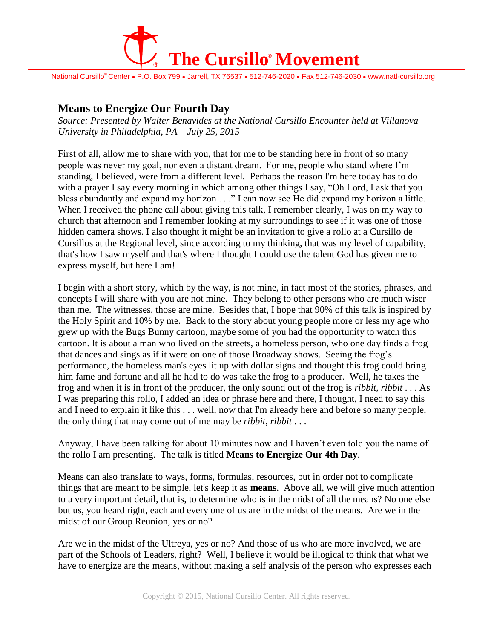

National Cursillo® Center • P.O. Box 799 • Jarrell, TX 76537 • 512-746-2020 • Fax 512-746-2030 • www.natl-cursillo.org

## **Means to Energize Our Fourth Day**

*Source: Presented by Walter Benavides at the National Cursillo Encounter held at Villanova University in Philadelphia, PA – July 25, 2015*

First of all, allow me to share with you, that for me to be standing here in front of so many people was never my goal, nor even a distant dream. For me, people who stand where I'm standing, I believed, were from a different level. Perhaps the reason I'm here today has to do with a prayer I say every morning in which among other things I say, "Oh Lord, I ask that you bless abundantly and expand my horizon . . ." I can now see He did expand my horizon a little. When I received the phone call about giving this talk, I remember clearly, I was on my way to church that afternoon and I remember looking at my surroundings to see if it was one of those hidden camera shows. I also thought it might be an invitation to give a rollo at a Cursillo de Cursillos at the Regional level, since according to my thinking, that was my level of capability, that's how I saw myself and that's where I thought I could use the talent God has given me to express myself, but here I am!

I begin with a short story, which by the way, is not mine, in fact most of the stories, phrases, and concepts I will share with you are not mine. They belong to other persons who are much wiser than me. The witnesses, those are mine. Besides that, I hope that 90% of this talk is inspired by the Holy Spirit and 10% by me. Back to the story about young people more or less my age who grew up with the Bugs Bunny cartoon, maybe some of you had the opportunity to watch this cartoon. It is about a man who lived on the streets, a homeless person, who one day finds a frog that dances and sings as if it were on one of those Broadway shows. Seeing the frog's performance, the homeless man's eyes lit up with dollar signs and thought this frog could bring him fame and fortune and all he had to do was take the frog to a producer. Well, he takes the frog and when it is in front of the producer, the only sound out of the frog is *ribbit*, *ribbit* . . . As I was preparing this rollo, I added an idea or phrase here and there, I thought, I need to say this and I need to explain it like this . . . well, now that I'm already here and before so many people, the only thing that may come out of me may be *ribbit*, *ribbit* . . .

Anyway, I have been talking for about 10 minutes now and I haven't even told you the name of the rollo I am presenting. The talk is titled **Means to Energize Our 4th Day**.

Means can also translate to ways, forms, formulas, resources, but in order not to complicate things that are meant to be simple, let's keep it as **means**. Above all, we will give much attention to a very important detail, that is, to determine who is in the midst of all the means? No one else but us, you heard right, each and every one of us are in the midst of the means. Are we in the midst of our Group Reunion, yes or no?

Are we in the midst of the Ultreya, yes or no? And those of us who are more involved, we are part of the Schools of Leaders, right? Well, I believe it would be illogical to think that what we have to energize are the means, without making a self analysis of the person who expresses each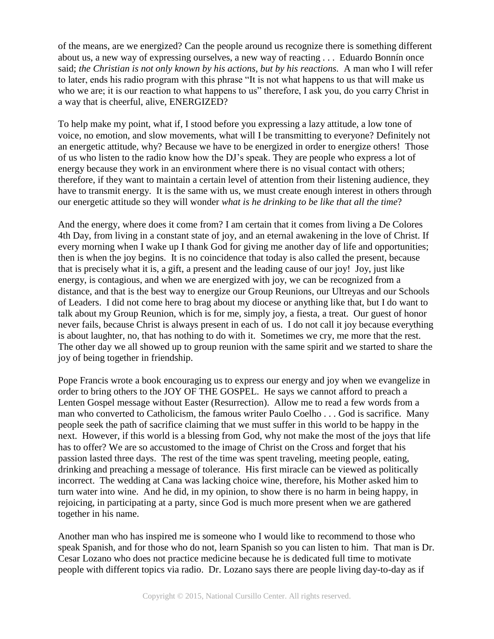of the means, are we energized? Can the people around us recognize there is something different about us, a new way of expressing ourselves, a new way of reacting . . . Eduardo Bonnín once said; *the Christian is not only known by his actions, but by his reactions.* A man who I will refer to later, ends his radio program with this phrase "It is not what happens to us that will make us who we are; it is our reaction to what happens to us" therefore, I ask you, do you carry Christ in a way that is cheerful, alive, ENERGIZED?

To help make my point, what if, I stood before you expressing a lazy attitude, a low tone of voice, no emotion, and slow movements, what will I be transmitting to everyone? Definitely not an energetic attitude, why? Because we have to be energized in order to energize others! Those of us who listen to the radio know how the DJ's speak. They are people who express a lot of energy because they work in an environment where there is no visual contact with others; therefore, if they want to maintain a certain level of attention from their listening audience, they have to transmit energy. It is the same with us, we must create enough interest in others through our energetic attitude so they will wonder *what is he drinking to be like that all the time*?

And the energy, where does it come from? I am certain that it comes from living a De Colores 4th Day, from living in a constant state of joy, and an eternal awakening in the love of Christ. If every morning when I wake up I thank God for giving me another day of life and opportunities; then is when the joy begins. It is no coincidence that today is also called the present, because that is precisely what it is, a gift, a present and the leading cause of our joy! Joy, just like energy, is contagious, and when we are energized with joy, we can be recognized from a distance, and that is the best way to energize our Group Reunions, our Ultreyas and our Schools of Leaders. I did not come here to brag about my diocese or anything like that, but I do want to talk about my Group Reunion, which is for me, simply joy, a fiesta, a treat. Our guest of honor never fails, because Christ is always present in each of us. I do not call it joy because everything is about laughter, no, that has nothing to do with it. Sometimes we cry, me more that the rest. The other day we all showed up to group reunion with the same spirit and we started to share the joy of being together in friendship.

Pope Francis wrote a book encouraging us to express our energy and joy when we evangelize in order to bring others to the JOY OF THE GOSPEL. He says we cannot afford to preach a Lenten Gospel message without Easter (Resurrection). Allow me to read a few words from a man who converted to Catholicism, the famous writer Paulo Coelho . . . God is sacrifice. Many people seek the path of sacrifice claiming that we must suffer in this world to be happy in the next. However, if this world is a blessing from God, why not make the most of the joys that life has to offer? We are so accustomed to the image of Christ on the Cross and forget that his passion lasted three days. The rest of the time was spent traveling, meeting people, eating, drinking and preaching a message of tolerance. His first miracle can be viewed as politically incorrect. The wedding at Cana was lacking choice wine, therefore, his Mother asked him to turn water into wine. And he did, in my opinion, to show there is no harm in being happy, in rejoicing, in participating at a party, since God is much more present when we are gathered together in his name.

Another man who has inspired me is someone who I would like to recommend to those who speak Spanish, and for those who do not, learn Spanish so you can listen to him. That man is Dr. Cesar Lozano who does not practice medicine because he is dedicated full time to motivate people with different topics via radio. Dr. Lozano says there are people living day-to-day as if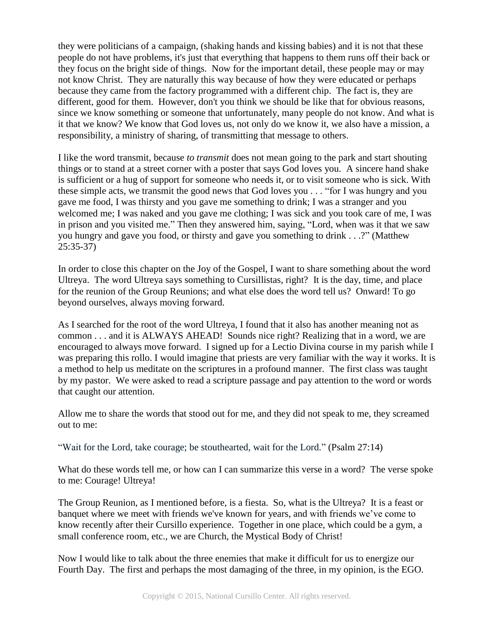they were politicians of a campaign, (shaking hands and kissing babies) and it is not that these people do not have problems, it's just that everything that happens to them runs off their back or they focus on the bright side of things. Now for the important detail, these people may or may not know Christ. They are naturally this way because of how they were educated or perhaps because they came from the factory programmed with a different chip. The fact is, they are different, good for them. However, don't you think we should be like that for obvious reasons, since we know something or someone that unfortunately, many people do not know. And what is it that we know? We know that God loves us, not only do we know it, we also have a mission, a responsibility, a ministry of sharing, of transmitting that message to others.

I like the word transmit, because *to transmit* does not mean going to the park and start shouting things or to stand at a street corner with a poster that says God loves you. A sincere hand shake is sufficient or a hug of support for someone who needs it, or to visit someone who is sick. With these simple acts, we transmit the good news that God loves you . . . "for I was hungry and you gave me food, I was thirsty and you gave me something to drink; I was a stranger and you welcomed me; I was naked and you gave me clothing; I was sick and you took care of me, I was in prison and you visited me." Then they answered him, saying, "Lord, when was it that we saw you hungry and gave you food, or thirsty and gave you something to drink . . .?" (Matthew 25:35-37)

In order to close this chapter on the Joy of the Gospel, I want to share something about the word Ultreya. The word Ultreya says something to Cursillistas, right? It is the day, time, and place for the reunion of the Group Reunions; and what else does the word tell us? Onward! To go beyond ourselves, always moving forward.

As I searched for the root of the word Ultreya, I found that it also has another meaning not as common . . . and it is ALWAYS AHEAD! Sounds nice right? Realizing that in a word, we are encouraged to always move forward. I signed up for a Lectio Divina course in my parish while I was preparing this rollo. I would imagine that priests are very familiar with the way it works. It is a method to help us meditate on the scriptures in a profound manner. The first class was taught by my pastor. We were asked to read a scripture passage and pay attention to the word or words that caught our attention.

Allow me to share the words that stood out for me, and they did not speak to me, they screamed out to me:

"Wait for the Lord, take courage; be stouthearted, wait for the Lord." (Psalm 27:14)

What do these words tell me, or how can I can summarize this verse in a word? The verse spoke to me: Courage! Ultreya!

The Group Reunion, as I mentioned before, is a fiesta. So, what is the Ultreya? It is a feast or banquet where we meet with friends we've known for years, and with friends we've come to know recently after their Cursillo experience. Together in one place, which could be a gym, a small conference room, etc., we are Church, the Mystical Body of Christ!

Now I would like to talk about the three enemies that make it difficult for us to energize our Fourth Day. The first and perhaps the most damaging of the three, in my opinion, is the EGO.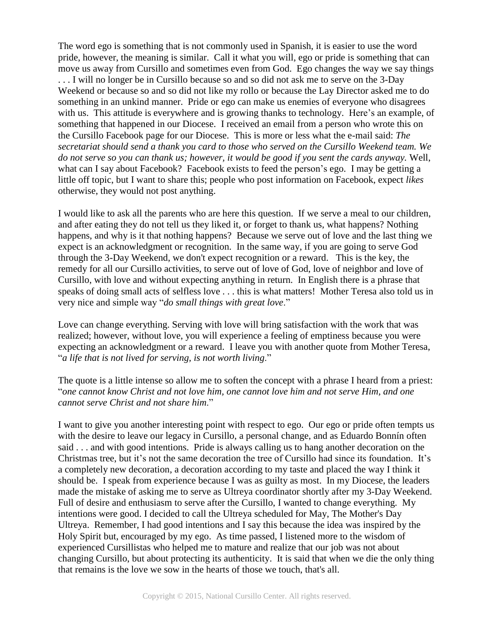The word ego is something that is not commonly used in Spanish, it is easier to use the word pride, however, the meaning is similar. Call it what you will, ego or pride is something that can move us away from Cursillo and sometimes even from God. Ego changes the way we say things . . . I will no longer be in Cursillo because so and so did not ask me to serve on the 3-Day Weekend or because so and so did not like my rollo or because the Lay Director asked me to do something in an unkind manner. Pride or ego can make us enemies of everyone who disagrees with us. This attitude is everywhere and is growing thanks to technology. Here's an example, of something that happened in our Diocese. I received an email from a person who wrote this on the Cursillo Facebook page for our Diocese. This is more or less what the e-mail said: *The secretariat should send a thank you card to those who served on the Cursillo Weekend team. We do not serve so you can thank us; however, it would be good if you sent the cards anyway.* Well, what can I say about Facebook? Facebook exists to feed the person's ego. I may be getting a little off topic, but I want to share this; people who post information on Facebook, expect *likes* otherwise, they would not post anything.

I would like to ask all the parents who are here this question. If we serve a meal to our children, and after eating they do not tell us they liked it, or forget to thank us, what happens? Nothing happens, and why is it that nothing happens? Because we serve out of love and the last thing we expect is an acknowledgment or recognition. In the same way, if you are going to serve God through the 3-Day Weekend, we don't expect recognition or a reward. This is the key, the remedy for all our Cursillo activities, to serve out of love of God, love of neighbor and love of Cursillo, with love and without expecting anything in return. In English there is a phrase that speaks of doing small acts of selfless love . . . this is what matters! Mother Teresa also told us in very nice and simple way "*do small things with great love*."

Love can change everything. Serving with love will bring satisfaction with the work that was realized; however, without love, you will experience a feeling of emptiness because you were expecting an acknowledgment or a reward. I leave you with another quote from Mother Teresa, "*a life that is not lived for serving, is not worth living*."

The quote is a little intense so allow me to soften the concept with a phrase I heard from a priest: "*one cannot know Christ and not love him, one cannot love him and not serve Him, and one cannot serve Christ and not share him*."

I want to give you another interesting point with respect to ego. Our ego or pride often tempts us with the desire to leave our legacy in Cursillo, a personal change, and as Eduardo Bonnín often said . . . and with good intentions. Pride is always calling us to hang another decoration on the Christmas tree, but it's not the same decoration the tree of Cursillo had since its foundation. It's a completely new decoration, a decoration according to my taste and placed the way I think it should be. I speak from experience because I was as guilty as most. In my Diocese, the leaders made the mistake of asking me to serve as Ultreya coordinator shortly after my 3-Day Weekend. Full of desire and enthusiasm to serve after the Cursillo, I wanted to change everything. My intentions were good. I decided to call the Ultreya scheduled for May, The Mother's Day Ultreya. Remember, I had good intentions and I say this because the idea was inspired by the Holy Spirit but, encouraged by my ego. As time passed, I listened more to the wisdom of experienced Cursillistas who helped me to mature and realize that our job was not about changing Cursillo, but about protecting its authenticity. It is said that when we die the only thing that remains is the love we sow in the hearts of those we touch, that's all.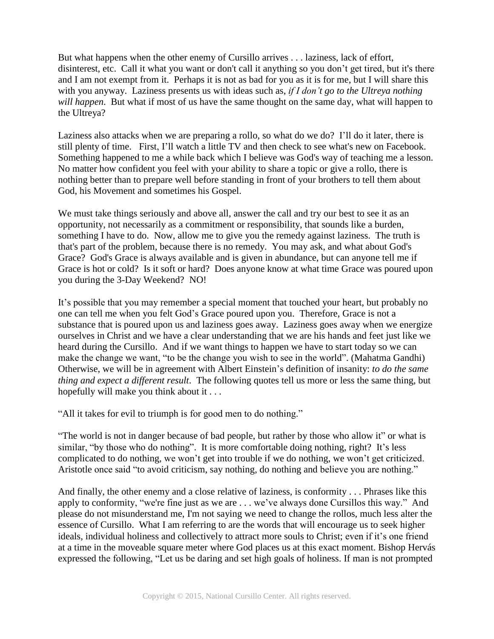But what happens when the other enemy of Cursillo arrives . . . laziness, lack of effort, disinterest, etc. Call it what you want or don't call it anything so you don't get tired, but it's there and I am not exempt from it. Perhaps it is not as bad for you as it is for me, but I will share this with you anyway. Laziness presents us with ideas such as, *if I don't go to the Ultreya nothing will happen*. But what if most of us have the same thought on the same day, what will happen to the Ultreya?

Laziness also attacks when we are preparing a rollo, so what do we do? I'll do it later, there is still plenty of time. First, I'll watch a little TV and then check to see what's new on Facebook. Something happened to me a while back which I believe was God's way of teaching me a lesson. No matter how confident you feel with your ability to share a topic or give a rollo, there is nothing better than to prepare well before standing in front of your brothers to tell them about God, his Movement and sometimes his Gospel.

We must take things seriously and above all, answer the call and try our best to see it as an opportunity, not necessarily as a commitment or responsibility, that sounds like a burden, something I have to do. Now, allow me to give you the remedy against laziness. The truth is that's part of the problem, because there is no remedy. You may ask, and what about God's Grace? God's Grace is always available and is given in abundance, but can anyone tell me if Grace is hot or cold? Is it soft or hard? Does anyone know at what time Grace was poured upon you during the 3-Day Weekend? NO!

It's possible that you may remember a special moment that touched your heart, but probably no one can tell me when you felt God's Grace poured upon you. Therefore, Grace is not a substance that is poured upon us and laziness goes away. Laziness goes away when we energize ourselves in Christ and we have a clear understanding that we are his hands and feet just like we heard during the Cursillo. And if we want things to happen we have to start today so we can make the change we want, "to be the change you wish to see in the world". (Mahatma Gandhi) Otherwise, we will be in agreement with Albert Einstein's definition of insanity: *to do the same thing and expect a different result*. The following quotes tell us more or less the same thing, but hopefully will make you think about it . . .

"All it takes for evil to triumph is for good men to do nothing."

"The world is not in danger because of bad people, but rather by those who allow it" or what is similar, "by those who do nothing". It is more comfortable doing nothing, right? It's less complicated to do nothing, we won't get into trouble if we do nothing, we won't get criticized. Aristotle once said "to avoid criticism, say nothing, do nothing and believe you are nothing."

And finally, the other enemy and a close relative of laziness, is conformity . . . Phrases like this apply to conformity, "we're fine just as we are . . . we've always done Cursillos this way." And please do not misunderstand me, I'm not saying we need to change the rollos, much less alter the essence of Cursillo. What I am referring to are the words that will encourage us to seek higher ideals, individual holiness and collectively to attract more souls to Christ; even if it's one friend at a time in the moveable square meter where God places us at this exact moment. Bishop Hervás expressed the following, "Let us be daring and set high goals of holiness. If man is not prompted